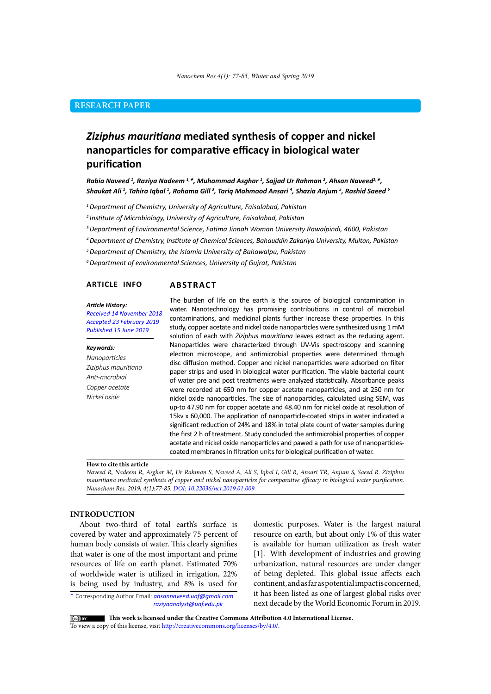# **RESEARCH PAPER**

# *Ziziphus mauritiana* **mediated synthesis of copper and nickel nanoparticles for comparative efficacy in biological water purification**

*Rabia Naveed 1 , Raziya Nadeem 1,\*, Muhammad Asghar 1 , Sajjad Ur Rahman <sup>2</sup> , Ahsan Naveed2,\*, Shaukat Ali 1 , Tahira Iqbal 1 , Rohama Gill 3 , Tariq Mahmood Ansari <sup>4</sup> , Shazia Anjum <sup>5</sup> , Rashid Saeed 6*

*1 Department of Chemistry, University of Agriculture, Faisalabad, Pakistan*

*<sup>2</sup>Institute of Microbiology, University of Agriculture, Faisalabad, Pakistan*

*<sup>3</sup>Department of Environmental Science, Fatima Jinnah Woman University Rawalpindi, 4600, Pakistan*

*4 Department of Chemistry, Institute of Chemical Sciences, Bahauddin Zakariya University, Multan, Pakistan* 

*<sup>5</sup>Department of Chemistry, the Islamia University of Bahawalpu, Pakistan*

*<sup>6</sup>Department of environmental Sciences, University of Gujrat, Pakistan*

#### **ARTICLE INFO**

#### *Article History:*

*Received 14 November 2018 Accepted 23 February 2019 Published 15 June 2019*

#### *Keywords:*

*Nanoparticles Ziziphus mauritiana Anti-microbial Copper acetate Nickel oxide*

The burden of life on the earth is the source of biological contamination in water. Nanotechnology has promising contributions in control of microbial contaminations, and medicinal plants further increase these properties. In this study, copper acetate and nickel oxide nanoparticles were synthesized using 1 mM solution of each with *Ziziphus mauritiana* leaves extract as the reducing agent. Nanoparticles were characterized through UV-Vis spectroscopy and scanning electron microscope, and antimicrobial properties were determined through disc diffusion method. Copper and nickel nanoparticles were adsorbed on filter paper strips and used in biological water purification. The viable bacterial count of water pre and post treatments were analyzed statistically. Absorbance peaks were recorded at 650 nm for copper acetate nanoparticles, and at 250 nm for nickel oxide nanoparticles. The size of nanoparticles, calculated using SEM, was up-to 47.90 nm for copper acetate and 48.40 nm for nickel oxide at resolution of **ABSTRACT**

15kv x 60,000. The application of nanoparticle-coated strips in water indicated a significant reduction of 24% and 18% in total plate count of water samples during the first 2 h of treatment. Study concluded the antimicrobial properties of copper acetate and nickel oxide nanoparticles and pawed a path for use of nanoparticlescoated membranes in filtration units for biological purification of water.

#### **How to cite this article**

*Naveed R, Nadeem R, Asghar M, Ur Rahman S, Naveed A, Ali S, Iqbal I, Gill R, Ansari TR, Anjum S, Saeed R. Ziziphus mauritiana mediated synthesis of copper and nickel nanoparticles for comparative efficacy in biological water purification. Nanochem Res, 2019; 4(1):77-85. DOI: 10.22036/ncr.2019.01.009*

## **INTRODUCTION**

About two-third of total earth's surface is covered by water and approximately 75 percent of human body consists of water. This clearly signifies that water is one of the most important and prime resources of life on earth planet. Estimated 70% of worldwide water is utilized in irrigation, 22% is being used by industry, and 8% is used for

\* Corresponding Author Email: *ahsannaveed.uaf@gmail.com raziyaanalyst@uaf.edu.pk*

domestic purposes. Water is the largest natural resource on earth, but about only 1% of this water is available for human utilization as fresh water [1]. With development of industries and growing urbanization, natural resources are under danger of being depleted. This global issue affects each continent, and as far as potential impact is concerned, it has been listed as one of largest global risks over next decade by the World Economic Forum in 2019.

 **This work is licensed under the Creative Commons Attribution 4.0 International License.** 

To view a copy of this license, visit [http://creativecommons.org/licenses/by/4.0/.](http://creativecommons.org/licenses/by/4.0/)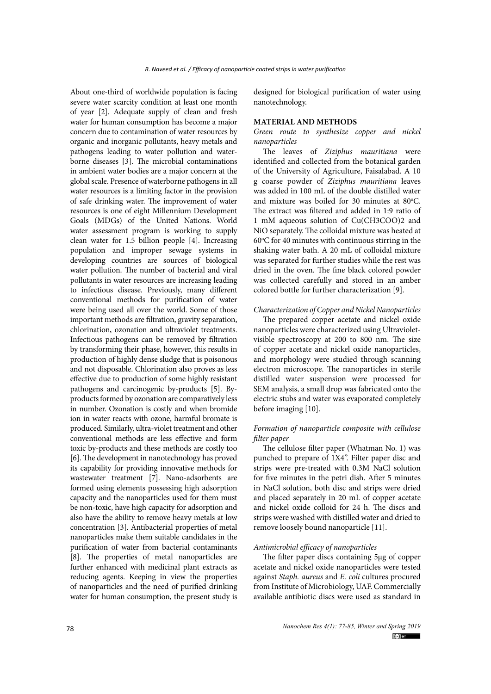About one-third of worldwide population is facing severe water scarcity condition at least one month of year [2]. Adequate supply of clean and fresh water for human consumption has become a major concern due to contamination of water resources by organic and inorganic pollutants, heavy metals and pathogens leading to water pollution and waterborne diseases [3]. The microbial contaminations in ambient water bodies are a major concern at the global scale. Presence of waterborne pathogens in all water resources is a limiting factor in the provision of safe drinking water. The improvement of water resources is one of eight Millennium Development Goals (MDGs) of the United Nations. World water assessment program is working to supply clean water for 1.5 billion people [4]. Increasing population and improper sewage systems in developing countries are sources of biological water pollution. The number of bacterial and viral pollutants in water resources are increasing leading to infectious disease. Previously, many different conventional methods for purification of water were being used all over the world. Some of those important methods are filtration, gravity separation, chlorination, ozonation and ultraviolet treatments. Infectious pathogens can be removed by filtration by transforming their phase, however, this results in production of highly dense sludge that is poisonous and not disposable. Chlorination also proves as less effective due to production of some highly resistant pathogens and carcinogenic by-products [5]. Byproducts formed by ozonation are comparatively less in number. Ozonation is costly and when bromide ion in water reacts with ozone, harmful bromate is produced. Similarly, ultra-violet treatment and other conventional methods are less effective and form toxic by-products and these methods are costly too [6]. The development in nanotechnology has proved its capability for providing innovative methods for wastewater treatment [7]. Nano-adsorbents are formed using elements possessing high adsorption capacity and the nanoparticles used for them must be non-toxic, have high capacity for adsorption and also have the ability to remove heavy metals at low concentration [3]. Antibacterial properties of metal nanoparticles make them suitable candidates in the purification of water from bacterial contaminants [8]. The properties of metal nanoparticles are further enhanced with medicinal plant extracts as reducing agents. Keeping in view the properties of nanoparticles and the need of purified drinking water for human consumption, the present study is

designed for biological purification of water using nanotechnology.

#### **MATERIAL AND METHODS**

*Green route to synthesize copper and nickel nanoparticles* 

The leaves of *Ziziphus mauritiana* were identified and collected from the botanical garden of the University of Agriculture, Faisalabad. A 10 g coarse powder of *Ziziphus mauritiana* leaves was added in 100 mL of the double distilled water and mixture was boiled for 30 minutes at  $80^{\circ}$ C. The extract was filtered and added in 1:9 ratio of 1 mM aqueous solution of Cu(CH3COO)2 and NiO separately. The colloidal mixture was heated at 60°C for 40 minutes with continuous stirring in the shaking water bath. A 20 mL of colloidal mixture was separated for further studies while the rest was dried in the oven. The fine black colored powder was collected carefully and stored in an amber colored bottle for further characterization [9].

#### *Characterization of Copper and Nickel Nanoparticles*

The prepared copper acetate and nickel oxide nanoparticles were characterized using Ultravioletvisible spectroscopy at 200 to 800 nm. The size of copper acetate and nickel oxide nanoparticles, and morphology were studied through scanning electron microscope. The nanoparticles in sterile distilled water suspension were processed for SEM analysis, a small drop was fabricated onto the electric stubs and water was evaporated completely before imaging [10].

#### *Formation of nanoparticle composite with cellulose filter paper*

The cellulose filter paper (Whatman No. 1) was punched to prepare of 1X4". Filter paper disc and strips were pre-treated with 0.3M NaCl solution for five minutes in the petri dish. After 5 minutes in NaCl solution, both disc and strips were dried and placed separately in 20 mL of copper acetate and nickel oxide colloid for 24 h. The discs and strips were washed with distilled water and dried to remove loosely bound nanoparticle [11].

### *Antimicrobial efficacy of nanoparticles*

The filter paper discs containing 5µg of copper acetate and nickel oxide nanoparticles were tested against *Staph. aureus* and *E. coli* cultures procured from Institute of Microbiology, UAF. Commercially available antibiotic discs were used as standard in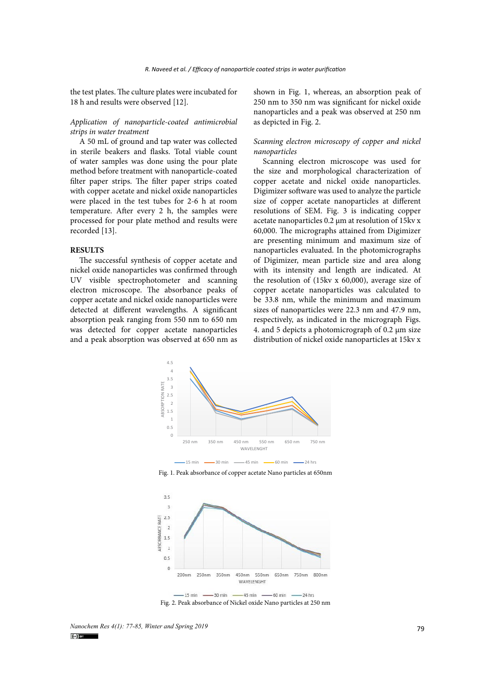the test plates. The culture plates were incubated for 18 h and results were observed [12].

#### *Application of nanoparticle-coated antimicrobial strips in water treatment*

A 50 mL of ground and tap water was collected in sterile beakers and flasks. Total viable count of water samples was done using the pour plate method before treatment with nanoparticle-coated filter paper strips. The filter paper strips coated with copper acetate and nickel oxide nanoparticles were placed in the test tubes for 2-6 h at room temperature. After every 2 h, the samples were processed for pour plate method and results were recorded [13].

#### **RESULTS**

The successful synthesis of copper acetate and nickel oxide nanoparticles was confirmed through UV visible spectrophotometer and scanning electron microscope. The absorbance peaks of copper acetate and nickel oxide nanoparticles were detected at different wavelengths. A significant absorption peak ranging from 550 nm to 650 nm was detected for copper acetate nanoparticles and a peak absorption was observed at 650 nm as

shown in Fig. 1, whereas, an absorption peak of 250 nm to 350 nm was significant for nickel oxide nanoparticles and a peak was observed at 250 nm as depicted in Fig. 2.

#### *Scanning electron microscopy of copper and nickel nanoparticles*

Scanning electron microscope was used for the size and morphological characterization of copper acetate and nickel oxide nanoparticles. Digimizer software was used to analyze the particle size of copper acetate nanoparticles at different resolutions of SEM. Fig. 3 is indicating copper acetate nanoparticles 0.2 µm at resolution of 15kv x 60,000. The micrographs attained from Digimizer are presenting minimum and maximum size of nanoparticles evaluated. In the photomicrographs of Digimizer, mean particle size and area along with its intensity and length are indicated. At the resolution of (15kv x 60,000), average size of copper acetate nanoparticles was calculated to be 33.8 nm, while the minimum and maximum sizes of nanoparticles were 22.3 nm and 47.9 nm, respectively, as indicated in the micrograph Figs. 4. and 5 depicts a photomicrograph of 0.2 µm size distribution of nickel oxide nanoparticles at 15kv x



Fig. 1. Peak absorbance of copper acetate Nano particles at 650nm **Fig 1. Peak absorbance of copper acetate Nano particles at 650nm**



Fig. 2. Peak absorbance of Nickel oxide Nano particles at 250 nm

*Nanochem Res 4(1): 77-85, Winter and Spring 2019*<br> **Colum**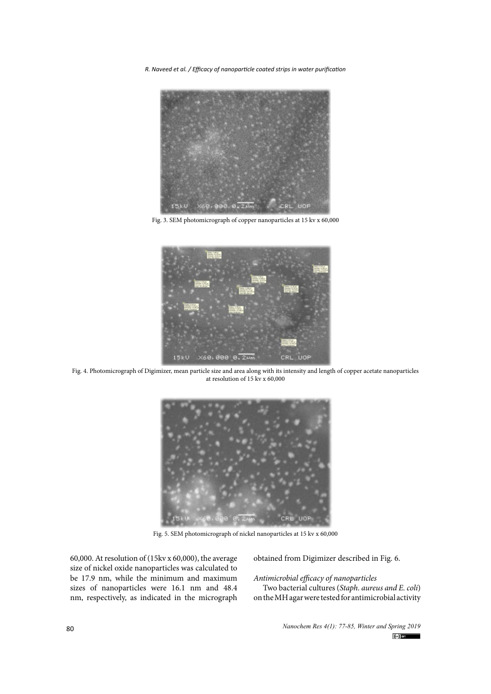*R. Naveed et al. / Efficacy of nanoparticle coated strips in water purification*



Fig. 3. SEM photomicrograph of copper nanoparticles at 15 kv x 60,000 Fig. 3. SEM photomicrograph of copper nanoparticles at 15 kv x 60,000



at resolution of 15 kv x  $60,000$ Fig. 4. Photomicrograph of Digimizer, mean particle size and area along with its intensity and length of copper acetate nanoparticles



Fig. 5. SEM photomicrograph of nickel nanoparticles at 15 kv x 60,000

60,000. At resolution of (15kv x 60,000), the average size of nickel oxide nanoparticles was calculated to be 17.9 nm, while the minimum and maximum sizes of nanoparticles were 16.1 nm and 48.4 nm, respectively, as indicated in the micrograph

obtained from Digimizer described in Fig. 6.

*Antimicrobial efficacy of nanoparticles* 

Two bacterial cultures (*Staph. aureus and E. coli*) on the MH agar were tested for antimicrobial activity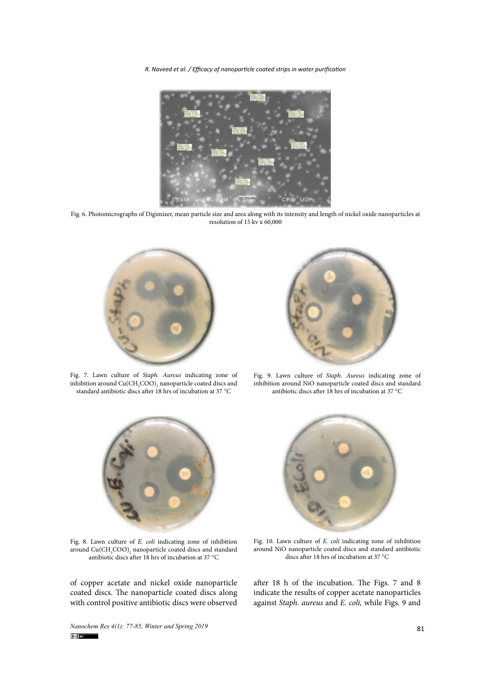*R. Naveed et al. / Efficacy of nanoparticle coated strips in water purification*



 $\frac{1}{2}$  resolution of 15 kv x 60,000 Fig. 6. Photomicrographs of Digimizer, mean particle size and area along with its intensity and length of nickel oxide nanoparticles at



standard antibiotic discs after 18 hrs of incubation at 37 °C antibiotic discs after 18 hrs of incubation at 37 °C rig. The standard and Cu(CH<sub>3</sub>COO)<sub>2</sub> hanoparticle coated discs and inhibition around NiO nanoparticle coated discs and inhibition around NiO nanoparticle coated disc Fig. 7. Lawn culture of *Staph. Aureus* indicating zone of



around Cu(CH<sub>3</sub>COO<sub>2</sub>) nanoparticle coated discs and inhibition around NiO nanoparticle coated discs and standard Fig. 9. Lawn culture of *Staph. Aureus* indicating zone of antibiotic discs after 18 hrs of incubation at 37 °C



antibiotic discs after 18 hrs of incubation at 37 °C discs after 18 hrs of incubation at 37 °C discs after 18 hrs of incubation at 37 °C Fig. 8. Lawn culture of *E. coli* indicating zone of inhibition around  $\text{Cu}(\text{CH}_{\text{3}}\text{COO})_{\text{2}}$  nanoparticle coated discs and standard

of copper acetate and nickel oxide nanoparticle after 18 h of the incu coated discs. The nanoparticle coated discs along with control positive antibiotic discs were observed



n culture of *E. coli* indicating zone of inhibition the Hig. 10. Lawn culture of *E. coli* indicating zone of inhibition<br>CH<sub>3</sub>COO)<sub>2</sub> nanoparticle coated discs and standard tround NiO nanoparticle coated discs and standar  $\frac{1}{\sqrt{2}}$  discs after 18 hrs of incubation at 37 °C Fig. 10. Lawn culture of *E. coli* indicating zone of inhibition discs after 18 hrs of incubation at 37 °C

after 18 h of the incubation. The Figs. 7 and 8 indicate the results of copper acetate nanoparticles against *Staph. aureus* and *E. coli,* while Figs. 9 and

*Nanochem Res 4(1): 77-85, Winter and Spring 2019* 81 **(a)**  $\bullet$  81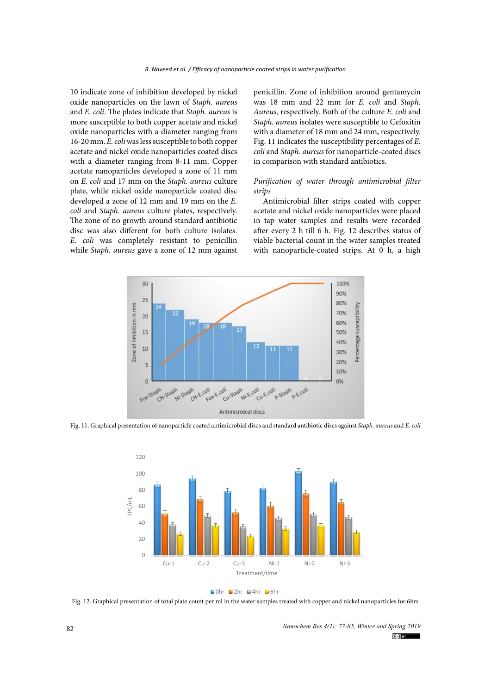10 indicate zone of inhibition developed by nickel oxide nanoparticles on the lawn of *Staph. aureus* and *E. coli*. The plates indicate that *Staph. aureus* is more susceptible to both copper acetate and nickel oxide nanoparticles with a diameter ranging from 16-20 mm. *E. coli* was less susceptible to both copper acetate and nickel oxide nanoparticles coated discs with a diameter ranging from 8-11 mm. Copper acetate nanoparticles developed a zone of 11 mm on *E. coli* and 17 mm on the *Staph. aureus* culture plate, while nickel oxide nanoparticle coated disc developed a zone of 12 mm and 19 mm on the *E. coli* and *Staph. aureus* culture plates, respectively. The zone of no growth around standard antibiotic disc was also different for both culture isolates. *E. coli* was completely resistant to penicillin while *Staph. aureus* gave a zone of 12 mm against vit

penicillin. Zone of inhibition around gentamycin was 18 mm and 22 mm for *E. coli* and *Staph. Aureus,* respectively. Both of the culture *E. coli* and *Staph. aureus* isolates were susceptible to Cefoxitin with a diameter of 18 mm and 24 mm, respectively. Fig. 11 indicates the susceptibility percentages of *E. coli* and *Staph. aureus* for nanoparticle-coated discs in comparison with standard antibiotics.

#### *Purification of water through antimicrobial filter strips*

Antimicrobial filter strips coated with copper acetate and nickel oxide nanoparticles were placed in tap water samples and results were recorded after every 2 h till 6 h. Fig. 12 describes status of i was completely resistant to penicillin viable bacterial count in the water samples treated with nanoparticle-coated strips. At 0 h, a high



Fig. 11. Graphical presentation of nanoparticle coated antimicrobial discs and standard antibiotic discs against *Staph. aureus* and *E. coli*



 $\blacksquare$ 0hr  $\blacksquare$ 2hr  $\blacksquare$ 4hr  $\blacksquare$ 6hr

Fig. 12. Graphical presentation of total plate count per ml in the water samples treated with copper and nickel nanoparticles for 6hrs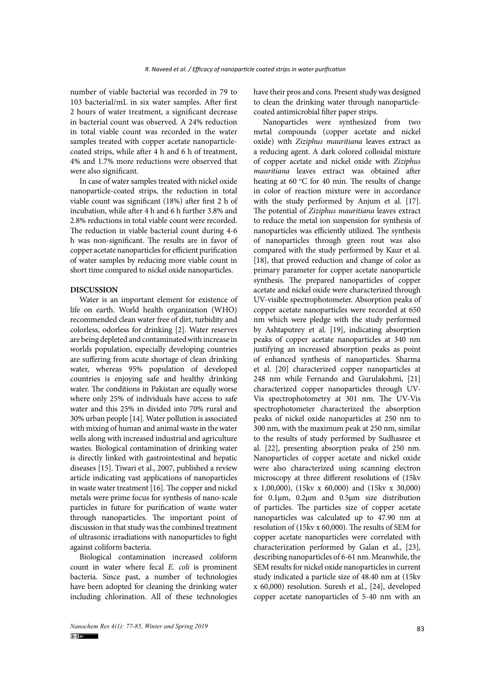number of viable bacterial was recorded in 79 to 103 bacterial/mL in six water samples. After first 2 hours of water treatment, a significant decrease in bacterial count was observed. A 24% reduction in total viable count was recorded in the water samples treated with copper acetate nanoparticlecoated strips, while after 4 h and 6 h of treatment, 4% and 1.7% more reductions were observed that were also significant.

In case of water samples treated with nickel oxide nanoparticle-coated strips, the reduction in total viable count was significant (18%) after first 2 h of incubation, while after 4 h and 6 h further 3.8% and 2.8% reductions in total viable count were recorded. The reduction in viable bacterial count during 4-6 h was non-significant. The results are in favor of copper acetate nanoparticles for efficient purification of water samples by reducing more viable count in short time compared to nickel oxide nanoparticles.

#### **DISCUSSION**

Water is an important element for existence of life on earth. World health organization (WHO) recommended clean water free of dirt, turbidity and colorless, odorless for drinking [2]. Water reserves are being depleted and contaminated with increase in worlds population, especially developing countries are suffering from acute shortage of clean drinking water, whereas 95% population of developed countries is enjoying safe and healthy drinking water. The conditions in Pakistan are equally worse where only 25% of individuals have access to safe water and this 25% in divided into 70% rural and 30% urban people [14]. Water pollution is associated with mixing of human and animal waste in the water wells along with increased industrial and agriculture wastes. Biological contamination of drinking water is directly linked with gastrointestinal and hepatic diseases [15]. Tiwari et al., 2007, published a review article indicating vast applications of nanoparticles in waste water treatment [16]. The copper and nickel metals were prime focus for synthesis of nano-scale particles in future for purification of waste water through nanoparticles. The important point of discussion in that study was the combined treatment of ultrasonic irradiations with nanoparticles to fight against coliform bacteria.

Biological contamination increased coliform count in water where fecal *E. coli* is prominent bacteria. Since past, a number of technologies have been adopted for cleaning the drinking water including chlorination. All of these technologies

have their pros and cons. Present study was designed to clean the drinking water through nanoparticlecoated antimicrobial filter paper strips.

Nanoparticles were synthesized from two metal compounds (copper acetate and nickel oxide) with *Ziziphus mauritiana* leaves extract as a reducing agent. A dark colored colloidal mixture of copper acetate and nickel oxide with *Ziziphus mauritiana* leaves extract was obtained after heating at 60 °C for 40 min. The results of change in color of reaction mixture were in accordance with the study performed by Anjum et al. [17]. The potential of *Ziziphus mauritiana* leaves extract to reduce the metal ion suspension for synthesis of nanoparticles was efficiently utilized. The synthesis of nanoparticles through green rout was also compared with the study performed by Kaur et al. [18], that proved reduction and change of color as primary parameter for copper acetate nanoparticle synthesis. The prepared nanoparticles of copper acetate and nickel oxide were characterized through UV-visible spectrophotometer. Absorption peaks of copper acetate nanoparticles were recorded at 650 nm which were pledge with the study performed by Ashtaputrey et al. [19], indicating absorption peaks of copper acetate nanoparticles at 340 nm justifying an increased absorption peaks as point of enhanced synthesis of nanoparticles. Sharma et al. [20] characterized copper nanoparticles at 248 nm while Fernando and Gurulakshmi, [21] characterized copper nanoparticles through UV-Vis spectrophotometry at 301 nm. The UV-Vis spectrophotometer characterized the absorption peaks of nickel oxide nanoparticles at 250 nm to 300 nm, with the maximum peak at 250 nm, similar to the results of study performed by Sudhasree et al. [22], presenting absorption peaks of 250 nm. Nanoparticles of copper acetate and nickel oxide were also characterized using scanning electron microscopy at three different resolutions of (15kv x 1,00,000), (15kv x 60,000) and (15kv x 30,000) for 0.1µm, 0.2µm and 0.5µm size distribution of particles. The particles size of copper acetate nanoparticles was calculated up to 47.90 nm at resolution of (15kv x 60,000). The results of SEM for copper acetate nanoparticles were correlated with characterization performed by Galan et al., [23], describing nanoparticles of 6-61 nm. Meanwhile, the SEM results for nickel oxide nanoparticles in current study indicated a particle size of 48.40 nm at (15kv x 60,000) resolution. Suresh et al., [24], developed copper acetate nanoparticles of 5-40 nm with an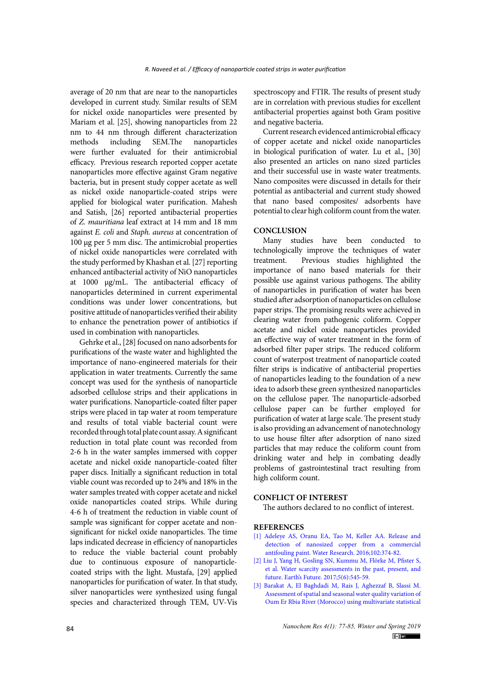average of 20 nm that are near to the nanoparticles developed in current study. Similar results of SEM for nickel oxide nanoparticles were presented by Mariam et al. [25], showing nanoparticles from 22 nm to 44 nm through different characterization methods including SEM.The nanoparticles were further evaluated for their antimicrobial efficacy. Previous research reported copper acetate nanoparticles more effective against Gram negative bacteria, but in present study copper acetate as well as nickel oxide nanoparticle-coated strips were applied for biological water purification. Mahesh and Satish, [26] reported antibacterial properties of *Z. mauritiana* leaf extract at 14 mm and 18 mm against *E. coli* and *Staph. aureus* at concentration of 100 µg per 5 mm disc. The antimicrobial properties of nickel oxide nanoparticles were correlated with the study performed by Khashan et al. [27] reporting enhanced antibacterial activity of NiO nanoparticles at 1000 µg/mL. The antibacterial efficacy of nanoparticles determined in current experimental conditions was under lower concentrations, but positive attitude of nanoparticles verified their ability to enhance the penetration power of antibiotics if used in combination with nanoparticles.

Gehrke et al., [28] focused on nano adsorbents for purifications of the waste water and highlighted the importance of nano-engineered materials for their application in water treatments. Currently the same concept was used for the synthesis of nanoparticle adsorbed cellulose strips and their applications in water purifications. Nanoparticle-coated filter paper strips were placed in tap water at room temperature and results of total viable bacterial count were recorded through total plate count assay. A significant reduction in total plate count was recorded from 2-6 h in the water samples immersed with copper acetate and nickel oxide nanoparticle-coated filter paper discs. Initially a significant reduction in total viable count was recorded up to 24% and 18% in the water samples treated with copper acetate and nickel oxide nanoparticles coated strips. While during 4-6 h of treatment the reduction in viable count of sample was significant for copper acetate and nonsignificant for nickel oxide nanoparticles. The time laps indicated decrease in efficiency of nanoparticles to reduce the viable bacterial count probably due to continuous exposure of nanoparticlecoated strips with the light. Mustafa, [29] applied nanoparticles for purification of water. In that study, silver nanoparticles were synthesized using fungal species and characterized through TEM, UV-Vis

spectroscopy and FTIR. The results of present study are in correlation with previous studies for excellent antibacterial properties against both Gram positive and negative bacteria.

Current research evidenced antimicrobial efficacy of copper acetate and nickel oxide nanoparticles in biological purification of water. Lu et al., [30] also presented an articles on nano sized particles and their successful use in waste water treatments. Nano composites were discussed in details for their potential as antibacterial and current study showed that nano based composites/ adsorbents have potential to clear high coliform count from the water.

## **CONCLUSION**

Many studies have been conducted to technologically improve the techniques of water treatment. Previous studies highlighted the importance of nano based materials for their possible use against various pathogens. The ability of nanoparticles in purification of water has been studied after adsorption of nanoparticles on cellulose paper strips. The promising results were achieved in clearing water from pathogenic coliform. Copper acetate and nickel oxide nanoparticles provided an effective way of water treatment in the form of adsorbed filter paper strips. The reduced coliform count of waterpost treatment of nanoparticle coated filter strips is indicative of antibacterial properties of nanoparticles leading to the foundation of a new idea to adsorb these green synthesized nanoparticles on the cellulose paper. The nanoparticle-adsorbed cellulose paper can be further employed for purification of water at large scale. The present study is also providing an advancement of nanotechnology to use house filter after adsorption of nano sized particles that may reduce the coliform count from drinking water and help in combating deadly problems of gastrointestinal tract resulting from high coliform count.

### **CONFLICT OF INTEREST**

The authors declared to no conflict of interest.

## **REFERENCES**

- [1] [Adeleye AS, Oranu EA, Tao M, Keller AA. Release and](http://dx.doi.org/10.1016/j.watres.2016.06.056) [detection of nanosized copper from a commercial](http://dx.doi.org/10.1016/j.watres.2016.06.056) [antifouling paint. Water Research. 2016;102:374-82.](http://dx.doi.org/10.1016/j.watres.2016.06.056)
- [2] [Liu J, Yang H, Gosling SN, Kummu M, Flörke M, Pfister S,](http://dx.doi.org/10.1002/2016ef000518) [et al. Water scarcity assessments in the past, present, and](http://dx.doi.org/10.1002/2016ef000518) [future. Earth's Future. 2017;5\(6\):545-59.](http://dx.doi.org/10.1002/2016ef000518)
- [3] [Barakat A, El Baghdadi M, Rais J, Aghezzaf B, Slassi M.](http://dx.doi.org/10.1016/j.iswcr.2016.11.002) [Assessment of spatial and seasonal water quality variation of](http://dx.doi.org/10.1016/j.iswcr.2016.11.002) [Oum Er Rbia River \(Morocco\) using multivariate statistical](http://dx.doi.org/10.1016/j.iswcr.2016.11.002)